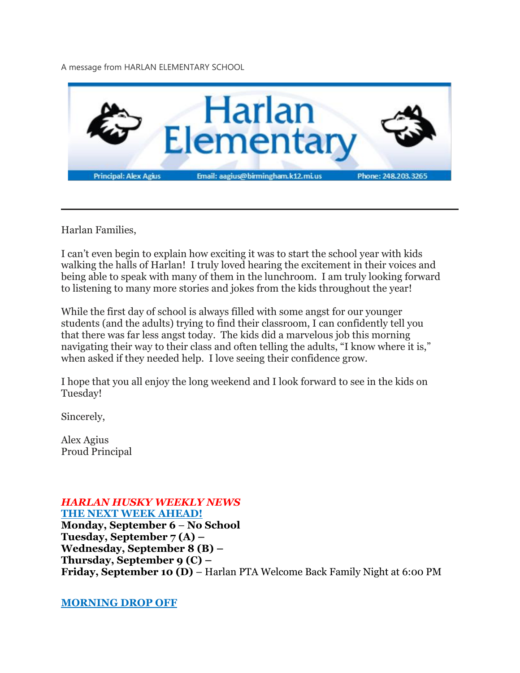A message from HARLAN ELEMENTARY SCHOOL



Harlan Families,

I can't even begin to explain how exciting it was to start the school year with kids walking the halls of Harlan! I truly loved hearing the excitement in their voices and being able to speak with many of them in the lunchroom. I am truly looking forward to listening to many more stories and jokes from the kids throughout the year!

While the first day of school is always filled with some angst for our younger students (and the adults) trying to find their classroom, I can confidently tell you that there was far less angst today. The kids did a marvelous job this morning navigating their way to their class and often telling the adults, "I know where it is," when asked if they needed help. I love seeing their confidence grow.

I hope that you all enjoy the long weekend and I look forward to see in the kids on Tuesday!

Sincerely,

Alex Agius Proud Principal

#### *HARLAN HUSKY WEEKLY NEWS* **THE NEXT WEEK AHEAD!**

**Monday, September 6** – **No School Tuesday, September 7 (A) – Wednesday, September 8 (B) – Thursday, September 9 (C) – Friday, September 10 (D)** – Harlan PTA Welcome Back Family Night at 6:00 PM

**MORNING DROP OFF**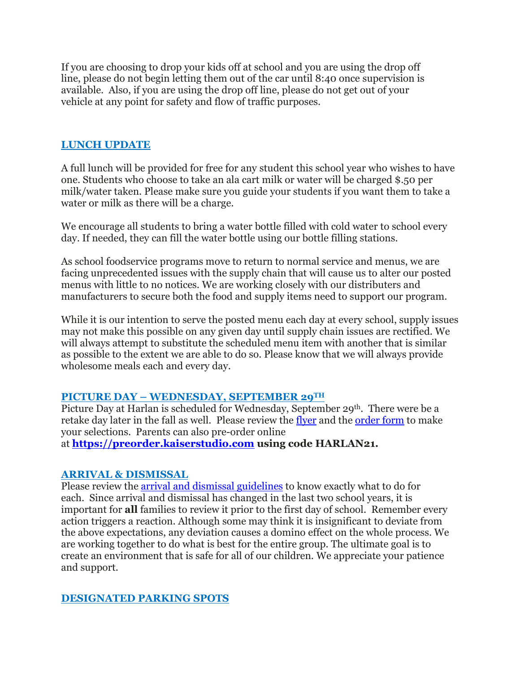If you are choosing to drop your kids off at school and you are using the drop off line, please do not begin letting them out of the car until 8:40 once supervision is available. Also, if you are using the drop off line, please do not get out of your vehicle at any point for safety and flow of traffic purposes.

### **LUNCH UPDATE**

A full lunch will be provided for free for any student this school year who wishes to have one. Students who choose to take an ala cart milk or water will be charged \$.50 per milk/water taken. Please make sure you guide your students if you want them to take a water or milk as there will be a charge.

We encourage all students to bring a water bottle filled with cold water to school every day. If needed, they can fill the water bottle using our bottle filling stations.

As school foodservice programs move to return to normal service and menus, we are facing unprecedented issues with the supply chain that will cause us to alter our posted menus with little to no notices. We are working closely with our distributers and manufacturers to secure both the food and supply items need to support our program.

While it is our intention to serve the posted menu each day at every school, supply issues may not make this possible on any given day until supply chain issues are rectified. We will always attempt to substitute the scheduled menu item with another that is similar as possible to the extent we are able to do so. Please know that we will always provide wholesome meals each and every day.

# **PICTURE DAY – WEDNESDAY, SEPTEMBER 29TH**

Picture Day at Harlan is scheduled for Wednesday, September 29<sup>th</sup>. There were be a retake day later in the fall as well. Please review the [flyer](https://drive.google.com/file/d/1SEc_aTmoA4PyTmNDNhpPpdyAfM_T2nGe/view?usp=sharing) and the [order](https://drive.google.com/file/d/121U7IhsSFLdYDhPPyTGt4COGKzoIH7Fg/view?usp=sharing) form to make your selections. Parents can also pre-order online

at **[https://preorder.kaiserstudio.com](https://preorder.kaiserstudio.com/) using code HARLAN21.**

### **ARRIVAL & DISMISSAL**

Please review the arrival and dismissal [guidelines](https://drive.google.com/file/d/1xGg7e5gcifz-HCN8H03DabOjbBEddvmO/view?usp=sharing) to know exactly what to do for each. Since arrival and dismissal has changed in the last two school years, it is important for **all** families to review it prior to the first day of school. Remember every action triggers a reaction. Although some may think it is insignificant to deviate from the above expectations, any deviation causes a domino effect on the whole process. We are working together to do what is best for the entire group. The ultimate goal is to create an environment that is safe for all of our children. We appreciate your patience and support.

### **DESIGNATED PARKING SPOTS**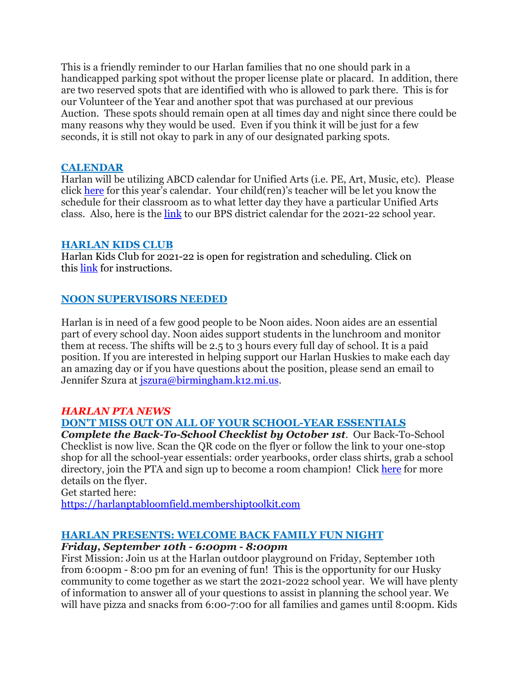This is a friendly reminder to our Harlan families that no one should park in a handicapped parking spot without the proper license plate or placard. In addition, there are two reserved spots that are identified with who is allowed to park there. This is for our Volunteer of the Year and another spot that was purchased at our previous Auction. These spots should remain open at all times day and night since there could be many reasons why they would be used. Even if you think it will be just for a few seconds, it is still not okay to park in any of our designated parking spots.

### **CALENDAR**

Harlan will be utilizing ABCD calendar for Unified Arts (i.e. PE, Art, Music, etc). Please click [here](https://drive.google.com/file/d/1Kzf42WPEsEEacL_NQ8YCqWIoQLHi9Afe/view?usp=sharing) for this year's calendar. Your child(ren)'s teacher will be let you know the schedule for their classroom as to what letter day they have a particular Unified Arts class. Also, here is the [link](https://drive.google.com/file/d/1QyZ5k9LSBKkfMKE3hDiSu1Q0IT317uin/view?usp=sharing) to our BPS district calendar for the 2021-22 school year.

#### **HARLAN KIDS CLUB**

Harlan Kids Club for 2021-22 is open for registration and scheduling. Click on this [link](https://www.birmingham.k12.mi.us/cms/lib/MI01908619/Centricity/Domain/494/2021-2022%20KIDS%20CLUB%20registration%20instructions.pdf) for instructions.

### **NOON SUPERVISORS NEEDED**

Harlan is in need of a few good people to be Noon aides. Noon aides are an essential part of every school day. Noon aides support students in the lunchroom and monitor them at recess. The shifts will be 2.5 to 3 hours every full day of school. It is a paid position. If you are interested in helping support our Harlan Huskies to make each day an amazing day or if you have questions about the position, please send an email to Jennifer Szura at *iszura@birmingham.k12.mi.us.* 

### *HARLAN PTA NEWS*

### **DON'T MISS OUT ON ALL OF YOUR SCHOOL-YEAR ESSENTIALS**

*Complete the Back-To-School Checklist by October 1st.* Our Back-To-School Checklist is now live. Scan the QR code on the flyer or follow the link to your one-stop shop for all the school-year essentials: order yearbooks, order class shirts, grab a school directory, join the PTA and sign up to become a room champion! Click [here](https://drive.google.com/file/d/1CY9U-lVxwWa1H7jVXMbqOaTOfcYvGk6S/view?usp=sharing) for more details on the flyer.

Get started here:

[https://harlanptabloomfield.membershiptoolkit.com](https://harlanptabloomfield.membershiptoolkit.com/)

### **HARLAN PRESENTS: WELCOME BACK FAMILY FUN NIGHT**

### *Friday, September 10th - 6:00pm - 8:00pm*

First Mission: Join us at the Harlan outdoor playground on Friday, September 10th from 6:00pm - 8:00 pm for an evening of fun! This is the opportunity for our Husky community to come together as we start the 2021-2022 school year. We will have plenty of information to answer all of your questions to assist in planning the school year. We will have pizza and snacks from 6:00-7:00 for all families and games until 8:00pm. Kids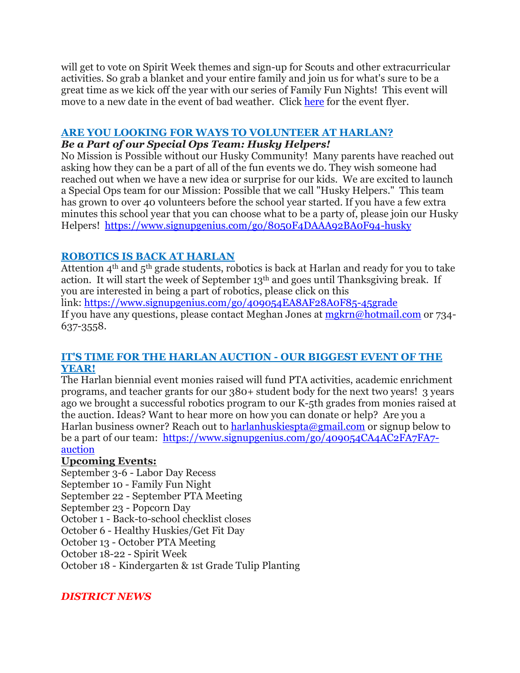will get to vote on Spirit Week themes and sign-up for Scouts and other extracurricular activities. So grab a blanket and your entire family and join us for what's sure to be a great time as we kick off the year with our series of Family Fun Nights! This event will move to a new date in the event of bad weather. Click [here](https://drive.google.com/file/d/1eiQiHXU8pNB-uXBRYIF8YZuHlh1yXSoA/view?usp=sharing) for the event flyer.

# **ARE YOU LOOKING FOR WAYS TO VOLUNTEER AT HARLAN?**

# *Be a Part of our Special Ops Team: Husky Helpers!*

No Mission is Possible without our Husky Community! Many parents have reached out asking how they can be a part of all of the fun events we do. They wish someone had reached out when we have a new idea or surprise for our kids. We are excited to launch a Special Ops team for our Mission: Possible that we call "Husky Helpers." This team has grown to over 40 volunteers before the school year started. If you have a few extra minutes this school year that you can choose what to be a party of, please join our Husky Helpers! <https://www.signupgenius.com/go/8050F4DAAA92BA0F94-husky>

# **ROBOTICS IS BACK AT HARLAN**

Attention  $4<sup>th</sup>$  and  $5<sup>th</sup>$  grade students, robotics is back at Harlan and ready for you to take action. It will start the week of September 13th and goes until Thanksgiving break. If you are interested in being a part of robotics, please click on this

link: <https://www.signupgenius.com/go/409054EA8AF28A0F85-45grade> If you have any questions, please contact Meghan Jones at [mgkrn@hotmail.com](mailto:mgkrn@hotmail.com) or 734- 637-3558.

# **IT'S TIME FOR THE HARLAN AUCTION - OUR BIGGEST EVENT OF THE YEAR!**

The Harlan biennial event monies raised will fund PTA activities, academic enrichment programs, and teacher grants for our 380+ student body for the next two years! 3 years ago we brought a successful robotics program to our K-5th grades from monies raised at the auction. Ideas? Want to hear more on how you can donate or help? Are you a Harlan business owner? Reach out to [harlanhuskiespta@gmail.com](mailto:harlanhuskiespta@gmail.com) or signup below to be a part of our team: [https://www.signupgenius.com/go/409054CA4AC2FA7FA7](https://www.signupgenius.com/go/409054CA4AC2FA7FA7-auction) [auction](https://www.signupgenius.com/go/409054CA4AC2FA7FA7-auction)

# **Upcoming Events:**

September 3-6 - Labor Day Recess September 10 - Family Fun Night September 22 - September PTA Meeting September 23 - Popcorn Day October 1 - Back-to-school checklist closes October 6 - Healthy Huskies/Get Fit Day October 13 - October PTA Meeting October 18-22 - Spirit Week October 18 - Kindergarten & 1st Grade Tulip Planting

# *DISTRICT NEWS*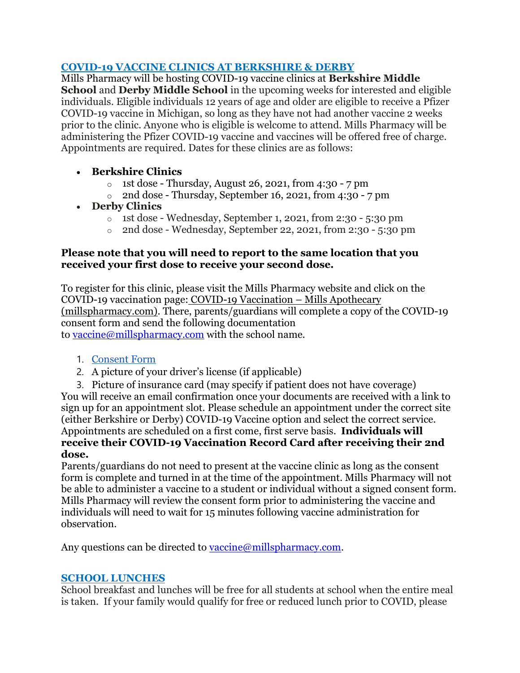# **COVID-19 VACCINE CLINICS AT BERKSHIRE & DERBY**

Mills Pharmacy will be hosting COVID-19 vaccine clinics at **Berkshire Middle School** and **Derby Middle School** in the upcoming weeks for interested and eligible individuals. Eligible individuals 12 years of age and older are eligible to receive a Pfizer COVID-19 vaccine in Michigan, so long as they have not had another vaccine 2 weeks prior to the clinic. Anyone who is eligible is welcome to attend. Mills Pharmacy will be administering the Pfizer COVID-19 vaccine and vaccines will be offered free of charge. Appointments are required. Dates for these clinics are as follows:

- **Berkshire Clinics**
	- o 1st dose Thursday, August 26, 2021, from 4:30 7 pm
	- $\circ$  2nd dose Thursday, September 16, 2021, from 4:30 7 pm
- **Derby Clinics**
	- o 1st dose Wednesday, September 1, 2021, from 2:30 5:30 pm
	- $\circ$  2nd dose Wednesday, September 22, 2021, from 2:30 5:30 pm

### **Please note that you will need to report to the same location that you received your first dose to receive your second dose.**

To register for this clinic, please visit the Mills Pharmacy website and click on the COVID-19 vaccination page: COVID-19 [Vaccination](https://millspharmacy.com/pages/covid-19-vaccination) – Mills Apothecary [\(millspharmacy.com\).](https://millspharmacy.com/pages/covid-19-vaccination) There, parents/guardians will complete a copy of the COVID-19 consent form and send the following documentation to [vaccine@millspharmacy.com](mailto:vaccine@millspharmacy.com) with the school name.

# 1. [Consent](https://cdn.shopify.com/s/files/1/0625/2201/files/Covid_Consent_Updated_MILLS.pdf?v=1619026745) Form

2. A picture of your driver's license (if applicable)

3. Picture of insurance card (may specify if patient does not have coverage) You will receive an email confirmation once your documents are received with a link to sign up for an appointment slot. Please schedule an appointment under the correct site (either Berkshire or Derby) COVID-19 Vaccine option and select the correct service. Appointments are scheduled on a first come, first serve basis. **Individuals will receive their COVID-19 Vaccination Record Card after receiving their 2nd dose.**

Parents/guardians do not need to present at the vaccine clinic as long as the consent form is complete and turned in at the time of the appointment. Mills Pharmacy will not be able to administer a vaccine to a student or individual without a signed consent form. Mills Pharmacy will review the consent form prior to administering the vaccine and individuals will need to wait for 15 minutes following vaccine administration for observation.

Any questions can be directed to [vaccine@millspharmacy.com.](mailto:vaccine@millspharmacy.com)

# **SCHOOL LUNCHES**

School breakfast and lunches will be free for all students at school when the entire meal is taken. If your family would qualify for free or reduced lunch prior to COVID, please